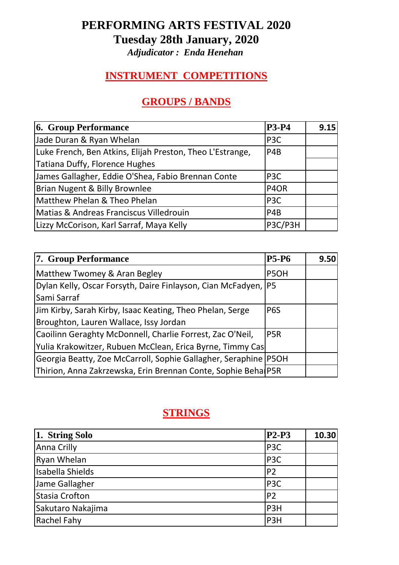## **PERFORMING ARTS FESTIVAL 2020 Tuesday 28th January, 2020**

*Adjudicator : Enda Henehan*

### **INSTRUMENT COMPETITIONS**

## **GROUPS / BANDS**

| <b>6. Group Performance</b>                               | <b>P3-P4</b>     | 9.15 |
|-----------------------------------------------------------|------------------|------|
| Jade Duran & Ryan Whelan                                  | P <sub>3</sub> C |      |
| Luke French, Ben Atkins, Elijah Preston, Theo L'Estrange, | P <sub>4</sub> B |      |
| <b>Tatiana Duffy, Florence Hughes</b>                     |                  |      |
| James Gallagher, Eddie O'Shea, Fabio Brennan Conte        | P <sub>3</sub> C |      |
| Brian Nugent & Billy Brownlee                             | P4OR             |      |
| Matthew Phelan & Theo Phelan                              | P <sub>3</sub> C |      |
| Matias & Andreas Franciscus Villedrouin                   | P <sub>4</sub> B |      |
| Lizzy McCorison, Karl Sarraf, Maya Kelly                  | P3C/P3H          |      |

| 7. Group Performance                                            | <b>P5-P6</b>     | 9.50 |
|-----------------------------------------------------------------|------------------|------|
| Matthew Twomey & Aran Begley                                    | P5OH             |      |
| Dylan Kelly, Oscar Forsyth, Daire Finlayson, Cian McFadyen, P5  |                  |      |
| Sami Sarraf                                                     |                  |      |
| Jim Kirby, Sarah Kirby, Isaac Keating, Theo Phelan, Serge       | P <sub>6</sub> S |      |
| Broughton, Lauren Wallace, Issy Jordan                          |                  |      |
| Caoilinn Geraghty McDonnell, Charlie Forrest, Zac O'Neil,       | P <sub>5R</sub>  |      |
| Yulia Krakowitzer, Rubuen McClean, Erica Byrne, Timmy Cas       |                  |      |
| Georgia Beatty, Zoe McCarroll, Sophie Gallagher, Seraphine P5OH |                  |      |
| Thirion, Anna Zakrzewska, Erin Brennan Conte, Sophie BehalP5R   |                  |      |

#### **STRINGS**

| 1. String Solo     | $P2-P3$          | 10.30 |
|--------------------|------------------|-------|
| <b>Anna Crilly</b> | P <sub>3</sub> C |       |
| <b>Ryan Whelan</b> | P <sub>3</sub> C |       |
| Isabella Shields   | P <sub>2</sub>   |       |
| Jame Gallagher     | P <sub>3</sub> C |       |
| Stasia Crofton     | P <sub>2</sub>   |       |
| Sakutaro Nakajima  | P <sub>3</sub> H |       |
| <b>Rachel Fahy</b> | P <sub>3</sub> H |       |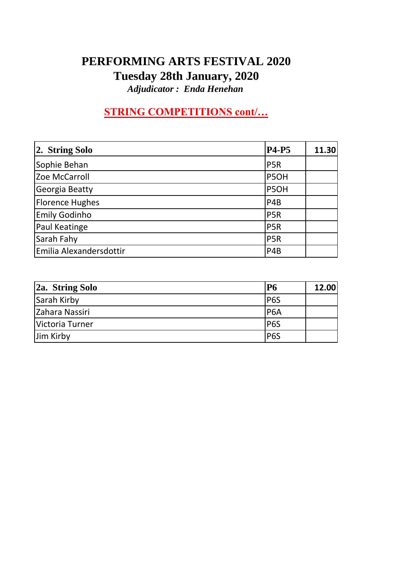## **PERFORMING ARTS FESTIVAL 2020 Tuesday 28th January, 2020**

*Adjudicator : Enda Henehan*

# **STRING COMPETITIONS cont/…**

| 2. String Solo          | <b>P4-P5</b>     | 11.30 |
|-------------------------|------------------|-------|
| Sophie Behan            | P <sub>5</sub> R |       |
| Zoe McCarroll           | P5OH             |       |
| Georgia Beatty          | P5OH             |       |
| <b>Florence Hughes</b>  | P <sub>4</sub> B |       |
| <b>Emily Godinho</b>    | P <sub>5</sub> R |       |
| <b>Paul Keatinge</b>    | P <sub>5</sub> R |       |
| Sarah Fahy              | P <sub>5</sub> R |       |
| Emilia Alexandersdottir | P <sub>4</sub> B |       |

| 2a. String Solo | <b>P6</b>        | 12.00 |
|-----------------|------------------|-------|
| Sarah Kirby     | P <sub>6S</sub>  |       |
| Zahara Nassiri  | <b>P6A</b>       |       |
| Victoria Turner | P <sub>6</sub> S |       |
| Jim Kirby       | P <sub>6</sub> S |       |